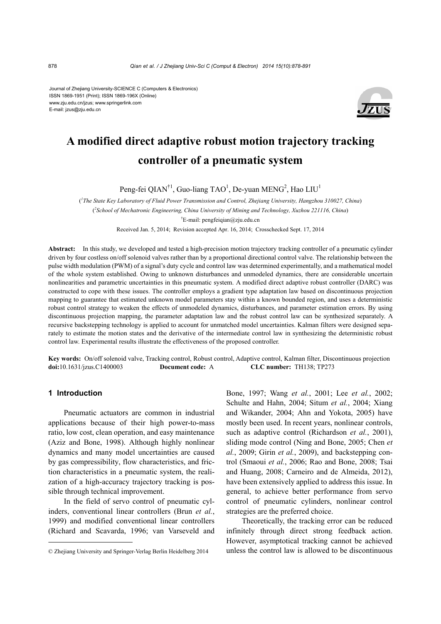Journal of Zhejiang University-SCIENCE C (Computers & Electronics) ISSN 1869-1951 (Print); ISSN 1869-196X (Online) www.zju.edu.cn/jzus; www.springerlink.com E-mail: jzus@zju.edu.cn



# **A modified direct adaptive robust motion trajectory tracking controller of a pneumatic system**

Peng-fei QIAN<sup>†1</sup>, Guo-liang TAO<sup>1</sup>, De-yuan MENG<sup>2</sup>, Hao LIU<sup>1</sup>

( *1 The State Key Laboratory of Fluid Power Transmission and Control, Zhejiang University, Hangzhou 310027, China*) ( *2 School of Mechatronic Engineering, China University of Mining and Technology, Xuzhou 221116, China*) † E-mail: pengfeiqian@zju.edu.cn Received Jan. 5, 2014; Revision accepted Apr. 16, 2014; Crosschecked Sept. 17, 2014

Abstract: In this study, we developed and tested a high-precision motion trajectory tracking controller of a pneumatic cylinder driven by four costless on/off solenoid valves rather than by a proportional directional control valve. The relationship between the pulse width modulation (PWM) of a signal's duty cycle and control law was determined experimentally, and a mathematical model of the whole system established. Owing to unknown disturbances and unmodeled dynamics, there are considerable uncertain nonlinearities and parametric uncertainties in this pneumatic system. A modified direct adaptive robust controller (DARC) was constructed to cope with these issues. The controller employs a gradient type adaptation law based on discontinuous projection mapping to guarantee that estimated unknown model parameters stay within a known bounded region, and uses a deterministic robust control strategy to weaken the effects of unmodeled dynamics, disturbances, and parameter estimation errors. By using discontinuous projection mapping, the parameter adaptation law and the robust control law can be synthesized separately. A recursive backstepping technology is applied to account for unmatched model uncertainties. Kalman filters were designed separately to estimate the motion states and the derivative of the intermediate control law in synthesizing the deterministic robust control law. Experimental results illustrate the effectiveness of the proposed controller.

**Key words:** On/off solenoid valve, Tracking control, Robust control, Adaptive control, Kalman filter, Discontinuous projection **doi:**10.1631/jzus.C1400003 **Document code:** A **CLC number:** TH138; TP273

## **1 Introduction**

Pneumatic actuators are common in industrial applications because of their high power-to-mass ratio, low cost, clean operation, and easy maintenance (Aziz and Bone, 1998). Although highly nonlinear dynamics and many model uncertainties are caused by gas compressibility, flow characteristics, and friction characteristics in a pneumatic system, the realization of a high-accuracy trajectory tracking is possible through technical improvement.

In the field of servo control of pneumatic cylinders, conventional linear controllers (Brun *et al.*, 1999) and modified conventional linear controllers (Richard and Scavarda, 1996; van Varseveld and Bone, 1997; Wang *et al.*, 2001; Lee *et al.*, 2002; Schulte and Hahn, 2004; Situm *et al.*, 2004; Xiang and Wikander, 2004; Ahn and Yokota, 2005) have mostly been used. In recent years, nonlinear controls, such as adaptive control (Richardson *et al.*, 2001), sliding mode control (Ning and Bone, 2005; Chen *et al.*, 2009; Girin *et al.*, 2009), and backstepping control (Smaoui *et al.*, 2006; Rao and Bone, 2008; Tsai and Huang, 2008; Carneiro and de Almeida, 2012), have been extensively applied to address this issue. In general, to achieve better performance from servo control of pneumatic cylinders, nonlinear control strategies are the preferred choice.

Theoretically, the tracking error can be reduced infinitely through direct strong feedback action. However, asymptotical tracking cannot be achieved unless the control law is allowed to be discontinuous

<sup>©</sup> Zhejiang University and Springer-Verlag Berlin Heidelberg 2014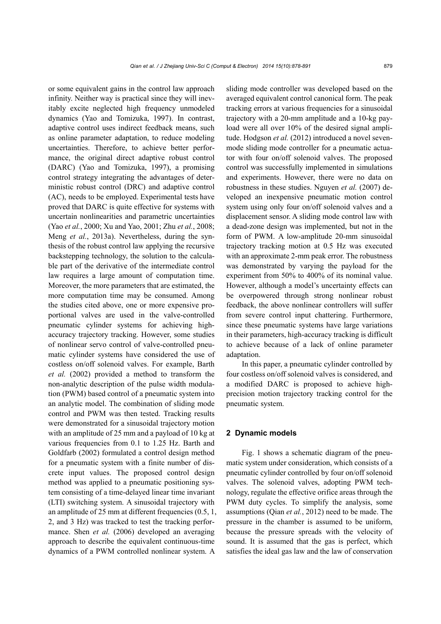or some equivalent gains in the control law approach infinity. Neither way is practical since they will inevitably excite neglected high frequency unmodeled dynamics (Yao and Tomizuka, 1997). In contrast, adaptive control uses indirect feedback means, such as online parameter adaptation, to reduce modeling uncertainties. Therefore, to achieve better performance, the original direct adaptive robust control (DARC) (Yao and Tomizuka, 1997), a promising control strategy integrating the advantages of deterministic robust control (DRC) and adaptive control (AC), needs to be employed. Experimental tests have proved that DARC is quite effective for systems with uncertain nonlinearities and parametric uncertainties (Yao *et al.*, 2000; Xu and Yao, 2001; Zhu *et al.*, 2008; Meng *et al.*, 2013a). Nevertheless, during the synthesis of the robust control law applying the recursive backstepping technology, the solution to the calculable part of the derivative of the intermediate control law requires a large amount of computation time. Moreover, the more parameters that are estimated, the more computation time may be consumed. Among the studies cited above, one or more expensive proportional valves are used in the valve-controlled pneumatic cylinder systems for achieving highaccuracy trajectory tracking. However, some studies of nonlinear servo control of valve-controlled pneumatic cylinder systems have considered the use of costless on/off solenoid valves. For example, Barth *et al.* (2002) provided a method to transform the non-analytic description of the pulse width modulation (PWM) based control of a pneumatic system into an analytic model. The combination of sliding mode control and PWM was then tested. Tracking results were demonstrated for a sinusoidal trajectory motion with an amplitude of 25 mm and a payload of 10 kg at various frequencies from 0.1 to 1.25 Hz. Barth and Goldfarb (2002) formulated a control design method for a pneumatic system with a finite number of discrete input values. The proposed control design method was applied to a pneumatic positioning system consisting of a time-delayed linear time invariant (LTI) switching system. A sinusoidal trajectory with an amplitude of 25 mm at different frequencies (0.5, 1, 2, and 3 Hz) was tracked to test the tracking performance. Shen *et al.* (2006) developed an averaging approach to describe the equivalent continuous-time dynamics of a PWM controlled nonlinear system. A

sliding mode controller was developed based on the averaged equivalent control canonical form. The peak tracking errors at various frequencies for a sinusoidal trajectory with a 20-mm amplitude and a 10-kg payload were all over 10% of the desired signal amplitude. Hodgson *et al.* (2012) introduced a novel sevenmode sliding mode controller for a pneumatic actuator with four on/off solenoid valves. The proposed control was successfully implemented in simulations and experiments. However, there were no data on robustness in these studies. Nguyen *et al.* (2007) developed an inexpensive pneumatic motion control system using only four on/off solenoid valves and a displacement sensor. A sliding mode control law with a dead-zone design was implemented, but not in the form of PWM. A low-amplitude 20-mm sinusoidal trajectory tracking motion at 0.5 Hz was executed with an approximate 2-mm peak error. The robustness was demonstrated by varying the payload for the experiment from 50% to 400% of its nominal value. However, although a model's uncertainty effects can be overpowered through strong nonlinear robust feedback, the above nonlinear controllers will suffer from severe control input chattering. Furthermore, since these pneumatic systems have large variations in their parameters, high-accuracy tracking is difficult to achieve because of a lack of online parameter adaptation.

In this paper, a pneumatic cylinder controlled by four costless on/off solenoid valves is considered, and a modified DARC is proposed to achieve highprecision motion trajectory tracking control for the pneumatic system.

# **2 Dynamic models**

Fig. 1 shows a schematic diagram of the pneumatic system under consideration, which consists of a pneumatic cylinder controlled by four on/off solenoid valves. The solenoid valves, adopting PWM technology, regulate the effective orifice areas through the PWM duty cycles. To simplify the analysis, some assumptions (Qian *et al.*, 2012) need to be made. The pressure in the chamber is assumed to be uniform, because the pressure spreads with the velocity of sound. It is assumed that the gas is perfect, which satisfies the ideal gas law and the law of conservation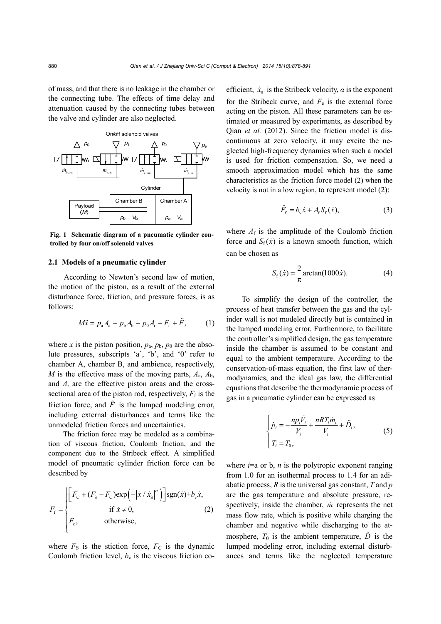of mass, and that there is no leakage in the chamber or the connecting tube. The effects of time delay and attenuation caused by the connecting tubes between the valve and cylinder are also neglected.



**Fig. 1 Schematic diagram of a pneumatic cylinder controlled by four on/off solenoid valves** 

#### **2.1 Models of a pneumatic cylinder**

According to Newton's second law of motion, the motion of the piston, as a result of the external disturbance force, friction, and pressure forces, is as follows:

$$
M\ddot{x} = p_{a}A_{a} - p_{b}A_{b} - p_{0}A_{r} - F_{f} + \tilde{F}, \qquad (1)
$$

where *x* is the piston position,  $p_a$ ,  $p_b$ ,  $p_0$  are the absolute pressures, subscripts 'a', 'b', and '0' refer to chamber A, chamber B, and ambience, respectively, *M* is the effective mass of the moving parts,  $A_a$ ,  $A_b$ , and  $A_r$  are the effective piston areas and the crosssectional area of the piston rod, respectively,  $F_f$  is the friction force, and  $\tilde{F}$  is the lumped modeling error, including external disturbances and terms like the unmodeled friction forces and uncertainties.

The friction force may be modeled as a combination of viscous friction, Coulomb friction, and the component due to the Stribeck effect. A simplified model of pneumatic cylinder friction force can be described by

$$
F_{\rm f} = \begin{cases} \left[ F_{\rm C} + (F_{\rm S} - F_{\rm C}) \exp\left(-\left|\dot{x} / \dot{x}_{\rm S}\right|^{\alpha}\right) \right] \exp(\dot{x}) + b_{\rm v} \dot{x}, \\ \text{if } \dot{x} \neq 0, \\ F_{\rm e}, \qquad \text{otherwise}, \end{cases} \tag{2}
$$

where  $F<sub>S</sub>$  is the stiction force,  $F<sub>C</sub>$  is the dynamic Coulomb friction level,  $b<sub>v</sub>$  is the viscous friction coefficient,  $\dot{x}_s$  is the Stribeck velocity,  $\alpha$  is the exponent for the Stribeck curve, and  $F_e$  is the external force acting on the piston. All these parameters can be estimated or measured by experiments, as described by Qian *et al.* (2012). Since the friction model is discontinuous at zero velocity, it may excite the neglected high-frequency dynamics when such a model is used for friction compensation. So, we need a smooth approximation model which has the same characteristics as the friction force model (2) when the velocity is not in a low region, to represent model (2):

$$
\hat{F}_{\rm f} = b_{\rm v} \dot{x} + A_{\rm f} S_{\rm f} (\dot{x}), \tag{3}
$$

where  $A_f$  is the amplitude of the Coulomb friction force and  $S_f(x)$  is a known smooth function, which can be chosen as

$$
S_f(x) = \frac{2}{\pi} \arctan(1000\dot{x}).
$$
 (4)

To simplify the design of the controller, the process of heat transfer between the gas and the cylinder wall is not modeled directly but is contained in the lumped modeling error. Furthermore, to facilitate the controller's simplified design, the gas temperature inside the chamber is assumed to be constant and equal to the ambient temperature. According to the conservation-of-mass equation, the first law of thermodynamics, and the ideal gas law, the differential equations that describe the thermodynamic process of gas in a pneumatic cylinder can be expressed as

$$
\begin{cases}\n\dot{p}_i = -\frac{np_i \dot{V}_i}{V_i} + \frac{nRT_i \dot{m}_i}{V_i} + \tilde{D}_i, \\
T_i = T_0,\n\end{cases}
$$
\n(5)

where  $i=a$  or  $b$ ,  $n$  is the polytropic exponent ranging from 1.0 for an isothermal process to 1.4 for an adiabatic process, *R* is the universal gas constant, *T* and *p* are the gas temperature and absolute pressure, respectively, inside the chamber, *m* represents the net mass flow rate, which is positive while charging the chamber and negative while discharging to the atmosphere,  $T_0$  is the ambient temperature,  $\tilde{D}$  is the lumped modeling error, including external disturbances and terms like the neglected temperature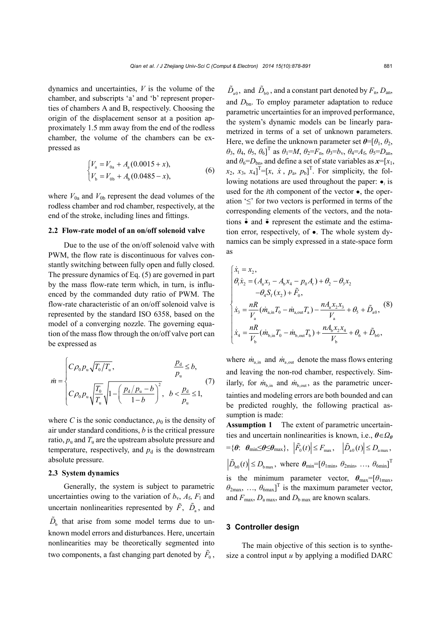dynamics and uncertainties, *V* is the volume of the chamber, and subscripts 'a' and 'b' represent properties of chambers A and B, respectively. Choosing the origin of the displacement sensor at a position approximately 1.5 mm away from the end of the rodless chamber, the volume of the chambers can be expressed as

$$
\begin{cases}\nV_{\rm a} = V_{0\rm a} + A_{\rm a} (0.0015 + x), \\
V_{\rm b} = V_{0\rm b} + A_{\rm b} (0.0485 - x),\n\end{cases} \tag{6}
$$

where  $V_{0a}$  and  $V_{0b}$  represent the dead volumes of the rodless chamber and rod chamber, respectively, at the end of the stroke, including lines and fittings.

## **2.2 Flow-rate model of an on/off solenoid valve**

Due to the use of the on/off solenoid valve with PWM, the flow rate is discontinuous for valves constantly switching between fully open and fully closed. The pressure dynamics of Eq. (5) are governed in part by the mass flow-rate term which, in turn, is influenced by the commanded duty ratio of PWM. The flow-rate characteristic of an on/off solenoid valve is represented by the standard ISO 6358, based on the model of a converging nozzle. The governing equation of the mass flow through the on/off valve port can be expressed as

$$
\dot{m} = \begin{cases}\nC\rho_0 p_u \sqrt{T_0/T_u}, & \frac{p_d}{p_u} \le b, \\
C\rho_0 p_u \sqrt{\frac{T_0}{T_u}} \sqrt{1 - \left(\frac{p_d/p_u - b}{1 - b}\right)^2}, & b < \frac{p_d}{p_u} \le 1,\n\end{cases}
$$
\n(7)

where *C* is the sonic conductance,  $\rho_0$  is the density of air under standard conditions, *b* is the critical pressure ratio,  $p_u$  and  $T_u$  are the upstream absolute pressure and temperature, respectively, and  $p_d$  is the downstream absolute pressure.

## **2.3 System dynamics**

Generally, the system is subject to parametric uncertainties owing to the variation of  $b_v$ ,  $A_f$ ,  $F_l$  and uncertain nonlinearities represented by  $\tilde{F}$ ,  $\tilde{D}_a$ , and  $\tilde{D}_b$  that arise from some model terms due to unknown model errors and disturbances. Here, uncertain nonlinearities may be theoretically segmented into two components, a fast changing part denoted by  $\tilde{F}_0$ ,

 $\tilde{D}_{\text{a0}}$ , and  $\tilde{D}_{\text{b0}}$ , and a constant part denoted by  $F_{\text{n}}, D_{\text{an}}$ , and  $D_{bn}$ . To employ parameter adaptation to reduce parametric uncertainties for an improved performance, the system's dynamic models can be linearly parametrized in terms of a set of unknown parameters. Here, we define the unknown parameter set  $\theta = [\theta_1, \theta_2, \theta_3]$ *θ*3, *θ*4, *θ*5, *θ*6] T as *θ*1=*M*, *θ*2=*F*n, *θ*3=*b*v, *θ*4=*A*f, *θ*5=*D*an, and  $\theta_6 = D_{bn}$ , and define a set of state variables as  $x = [x_1,$  $[x_2, x_3, x_4]^T = [x, \dot{x}, p_a, p_b]^T$ . For simplicity, the following notations are used throughout the paper: ●*i* is used for the *i*th component of the vector ●, the operation '≤' for two vectors is performed in terms of the corresponding elements of the vectors, and the notations  $\hat{\bullet}$  and  $\tilde{\bullet}$  represent the estimate and the estimation error, respectively, of ●. The whole system dynamics can be simply expressed in a state-space form as

$$
\begin{cases}\n\dot{x}_1 = x_2, \\
\theta_1 \dot{x}_2 = (A_a x_3 - A_b x_4 - p_0 A_r) + \theta_2 - \theta_3 x_2 \\
-\theta_4 S_f(x_2) + \tilde{F}_0, \\
\dot{x}_3 = \frac{nR}{V_a} (\dot{m}_{a,in} T_0 - \dot{m}_{a,out} T_a) - \frac{nA_a x_2 x_3}{V_a} + \theta_5 + \tilde{D}_{a0},\n\end{cases}
$$
\n(8)\n
$$
\dot{x}_4 = \frac{nR}{V_b} (\dot{m}_{b,in} T_0 - \dot{m}_{b,out} T_b) + \frac{nA_b x_2 x_4}{V_b} + \theta_6 + \tilde{D}_{b0},
$$

where  $\dot{m}_{a,in}$  and  $\dot{m}_{a,out}$  denote the mass flows entering and leaving the non-rod chamber, respectively. Similarly, for  $\dot{m}_{\text{b.in}}$  and  $\dot{m}_{\text{b,out}}$ , as the parametric uncertainties and modeling errors are both bounded and can be predicted roughly, the following practical assumption is made:

**Assumption 1** The extent of parametric uncertainties and uncertain nonlinearities is known, i.e.,  $\theta \in \Omega_{\theta}$  $= \{\theta: \; \theta_{\min} \leq \theta \leq \theta_{\max}\}, \; \; |\tilde{F}_0(t)| \leq F_{\max}, \; \; |\tilde{D}_{\text{a}}(t)| \leq D_{\max},$  $|\tilde{D}_{b0}(t)| \le D_{bmax}$ , where  $\theta_{min} = [\theta_{1min}, \theta_{2min}, \dots, \theta_{6min}]^T$ is the minimum parameter vector,  $\theta_{\text{max}}=[\theta_{\text{1max}}]$  $\theta_{2\text{max}}, \dots, \theta_{6\text{max}}$ <sup>T</sup> is the maximum parameter vector, and  $F_{\text{max}}$ ,  $D_{\text{a max}}$ , and  $D_{\text{b max}}$  are known scalars.

## **3 Controller design**

The main objective of this section is to synthesize a control input *u* by applying a modified DARC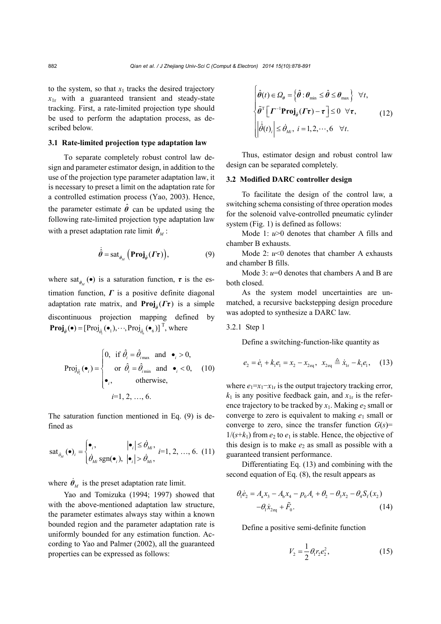to the system, so that  $x_1$  tracks the desired trajectory  $x_{1r}$  with a guaranteed transient and steady-state tracking. First, a rate-limited projection type should be used to perform the adaptation process, as described below.

## **3.1 Rate-limited projection type adaptation law**

To separate completely robust control law design and parameter estimator design, in addition to the use of the projection type parameter adaptation law, it is necessary to preset a limit on the adaptation rate for a controlled estimation process (Yao, 2003). Hence, the parameter estimate  $\hat{\theta}$  can be updated using the following rate-limited projection type adaptation law with a preset adaptation rate limit  $\dot{\theta}_M$ :

$$
\dot{\hat{\theta}} = \operatorname{sat}_{\dot{\theta}_M} \left( \operatorname{Proj}_{\hat{\theta}} (\varGamma \tau) \right), \tag{9}
$$

where sat<sub> $\phi_M$ </sub> ( $\bullet$ ) is a saturation function,  $\tau$  is the estimation function,  $\Gamma$  is a positive definite diagonal adaptation rate matrix, and **Proj**<sub> $\hat{a}$ </sub> $(\Gamma \tau)$  is a simple discontinuous projection mapping defined by  $\mathbf{Proj}_{\hat{\theta}}(\bullet) = [\text{Proj}_{\hat{\theta}_1}(\bullet_1), \cdots, \text{Proj}_{\hat{\theta}_6}(\bullet_6)]^{\text{T}}, \text{where}$ 

$$
\text{Proj}_{\hat{\theta}_i}(\bullet_i) = \begin{cases} 0, & \text{if } \hat{\theta}_i = \hat{\theta}_{i_{\text{max}}} \text{ and } \bullet_i > 0, \\ & \text{or } \hat{\theta}_i = \hat{\theta}_{i_{\text{min}}} \text{ and } \bullet_i < 0, \\ \bullet_i, & \text{otherwise,} \end{cases}
$$
(10)  
 $i=1, 2, ..., 6.$ 

The saturation function mentioned in Eq. (9) is defined as

$$
\text{sat}_{\dot{\theta}_M}(\bullet)_i = \begin{cases} \bullet_i, & |\bullet_i| \leq \dot{\theta}_M, \\ \dot{\theta}_M \text{sgn}(\bullet_i), & |\bullet_i| > \dot{\theta}_M, \end{cases} i = 1, 2, ..., 6. (11)
$$

where  $\dot{\theta}_M$  is the preset adaptation rate limit.

Yao and Tomizuka (1994; 1997) showed that with the above-mentioned adaptation law structure, the parameter estimates always stay within a known bounded region and the parameter adaptation rate is uniformly bounded for any estimation function. According to Yao and Palmer (2002), all the guaranteed properties can be expressed as follows:

$$
\begin{cases}\n\hat{\theta}(t) \in \Omega_{\theta} = \left\{\hat{\theta} : \theta_{\min} \leq \hat{\theta} \leq \theta_{\max}\right\} \quad \forall t, \\
\tilde{\theta}^{\mathrm{T}} \left[\boldsymbol{\varGamma}^{-1} \mathbf{Proj}_{\hat{\theta}}(\boldsymbol{\varGamma} \boldsymbol{\tau}) - \boldsymbol{\tau}\right] \leq 0 \quad \forall \boldsymbol{\tau}, \\
\left|\hat{\theta}(t)\right| \leq \hat{\theta}_{Mi}, \quad i = 1, 2, \cdots, 6 \quad \forall t.\n\end{cases} \tag{12}
$$

Thus, estimator design and robust control law design can be separated completely.

## **3.2 Modified DARC controller design**

To facilitate the design of the control law, a switching schema consisting of three operation modes for the solenoid valve-controlled pneumatic cylinder system (Fig. 1) is defined as follows:

Mode 1:  $u>0$  denotes that chamber A fills and chamber B exhausts.

Mode 2:  $u<0$  denotes that chamber A exhausts and chamber B fills.

Mode  $3: u=0$  denotes that chambers A and B are both closed.

As the system model uncertainties are unmatched, a recursive backstepping design procedure was adopted to synthesize a DARC law.

3.2.1 Step 1

Define a switching-function-like quantity as

$$
e_2 = \dot{e}_1 + k_1 e_1 = x_2 - x_{2\text{eq}}, \quad\nx_{2\text{eq}} \triangleq \dot{x}_{1r} - k_1 e_1,\quad (13)
$$

where  $e_1 = x_1 - x_1$  is the output trajectory tracking error,  $k_1$  is any positive feedback gain, and  $x_{1r}$  is the reference trajectory to be tracked by  $x_1$ . Making  $e_2$  small or converge to zero is equivalent to making  $e_1$  small or converge to zero, since the transfer function  $G(s)$ =  $1/(s+k_1)$  from  $e_2$  to  $e_1$  is stable. Hence, the objective of this design is to make  $e_2$  as small as possible with a guaranteed transient performance.

Differentiating Eq. (13) and combining with the second equation of Eq. (8), the result appears as

$$
\theta_1 \dot{e}_2 = A_a x_3 - A_b x_4 - p_0 A_r + \theta_2 - \theta_3 x_2 - \theta_4 S_r(x_2)
$$
  
-
$$
\theta_1 \dot{x}_{2eq} + \tilde{F}_0.
$$
 (14)

Define a positive semi-definite function

$$
V_2 = \frac{1}{2} \theta_1 r_2 e_2^2, \tag{15}
$$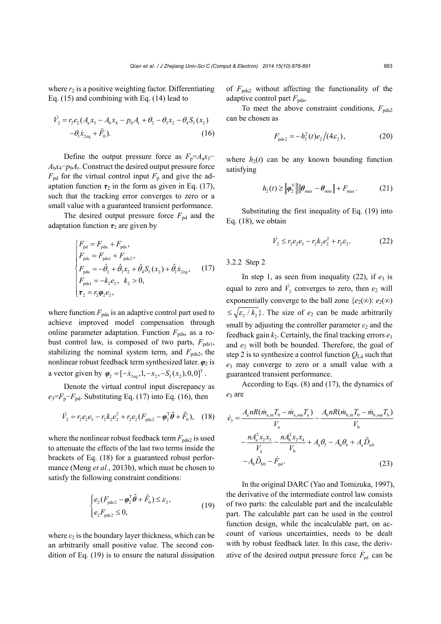where  $r_2$  is a positive weighting factor. Differentiating Eq. (15) and combining with Eq. (14) lead to

$$
\dot{V}_2 = r_2 e_2 (A_a x_3 - A_b x_4 - p_0 A_r + \theta_2 - \theta_3 x_2 - \theta_4 S_f (x_2) -\theta_1 \dot{x}_{2eq} + \tilde{F}_0).
$$
\n(16)

Define the output pressure force as  $F_p = A_a x_3$  $A_bx_4-p_0A_r$ . Construct the desired output pressure force  $F_{\text{pd}}$  for the virtual control input  $F_{\text{p}}$  and give the adaptation function  $\tau_2$  in the form as given in Eq. (17), such that the tracking error converges to zero or a small value with a guaranteed transient performance.

The desired output pressure force  $F_{pd}$  and the adaptation function  $\tau_2$  are given by

$$
\begin{cases}\nF_{\text{pd}} = F_{\text{pda}} + F_{\text{pds}}, \\
F_{\text{pds}} = F_{\text{pdsl}} + F_{\text{pds2}}, \\
F_{\text{pda}} = -\hat{\theta}_2 + \hat{\theta}_3 x_2 + \hat{\theta}_4 S_f (x_2) + \hat{\theta}_1 \dot{x}_{2\text{eq}}, \quad (17) \\
F_{\text{pdsl}} = -k_2 e_2, \quad k_2 > 0, \\
\tau_2 = r_2 \varphi_2 e_2,\n\end{cases}
$$

where function  $F_{\text{pda}}$  is an adaptive control part used to achieve improved model compensation through online parameter adaptation. Function  $F_{\text{pds}}$ , as a robust control law, is composed of two parts,  $F_{\text{pds1}}$ , stabilizing the nominal system term, and  $F_{\text{pds2}}$ , the nonlinear robust feedback term synthesized later.  $\varphi_2$  is a vector given by  $\varphi_2 = [-\dot{x}_{2\text{eq}}, 1, -x_2, -S_f(x_2), 0, 0]^T$ .

Denote the virtual control input discrepancy as  $e_3 = F_p - F_{pd}$ . Substituting Eq. (17) into Eq. (16), then

$$
\dot{V}_2 = r_2 e_2 e_3 - r_2 k_2 e_2^2 + r_2 e_2 (F_{\text{pds2}} - \phi_2^T \tilde{\theta} + \tilde{F}_0), \quad (18)
$$

where the nonlinear robust feedback term  $F_{\text{pds2}}$  is used to attenuate the effects of the last two terms inside the brackets of Eq. (18) for a guaranteed robust performance (Meng *et al.*, 2013b), which must be chosen to satisfy the following constraint conditions:

$$
\begin{cases} e_2 (F_{\text{pds2}} - \boldsymbol{\varphi}_2^{\text{T}} \tilde{\boldsymbol{\theta}} + \tilde{F}_0) \le \varepsilon_2, \\ e_2 F_{\text{pds2}} \le 0, \end{cases} \tag{19}
$$

where  $\varepsilon_2$  is the boundary layer thickness, which can be an arbitrarily small positive value. The second condition of Eq. (19) is to ensure the natural dissipation of  $F_{\text{pds2}}$  without affecting the functionality of the adaptive control part  $F_{\text{pda}}$ .

To meet the above constraint conditions,  $F_{\text{pds2}}$ can be chosen as

$$
F_{\text{pds2}} = -h_2^2(t)e_2/(4\varepsilon_2), \tag{20}
$$

where  $h_2(t)$  can be any known bounding function satisfying

$$
h_2(t) \ge \left\| \boldsymbol{\varphi}_2^{\mathrm{T}} \right\| \left\| \boldsymbol{\theta}_{\mathrm{max}} - \boldsymbol{\theta}_{\mathrm{min}} \right\| + F_{\mathrm{max}}.
$$
 (21)

Substituting the first inequality of Eq. (19) into Eq. (18), we obtain

$$
\dot{V}_2 \le r_2 e_2 e_3 - r_2 k_2 e_2^2 + r_2 \varepsilon_2. \tag{22}
$$

3.2.2 Step 2

In step 1, as seen from inequality  $(22)$ , if  $e_3$  is equal to zero and  $\dot{V}_2$  converges to zero, then  $e_2$  will exponentially converge to the ball zone  ${e_2(\infty)}$ :  $e_2(\infty)$  $\leq \sqrt{\frac{\varepsilon_2}{k_2}}$ . The size of  $e_2$  can be made arbitrarily small by adjusting the controller parameter *ε*2 and the feedback gain  $k_2$ . Certainly, the final tracking errors  $e_1$ and  $e_2$  will both be bounded. Therefore, the goal of step 2 is to synthesize a control function  $Q_{\text{Ld}}$  such that *e*3 may converge to zero or a small value with a guaranteed transient performance.

According to Eqs. (8) and (17), the dynamics of *e*3 are

$$
\dot{e}_{3} = \frac{A_{a}nR(\dot{m}_{a,in}T_{0} - \dot{m}_{a,out}T_{a})}{V_{a}} - \frac{A_{b}nR(\dot{m}_{b,in}T_{0} - \dot{m}_{b,out}T_{b})}{V_{b}}
$$

$$
-\frac{nA_{a}^{2}x_{2}x_{3}}{V_{a}} - \frac{nA_{b}^{2}x_{2}x_{4}}{V_{b}} + A_{a}\theta_{5} - A_{b}\theta_{6} + A_{a}\tilde{D}_{a0}
$$

$$
-A_{b}\tilde{D}_{b0} - \dot{F}_{pd}.
$$
(23)

In the original DARC (Yao and Tomizuka, 1997), the derivative of the intermediate control law consists of two parts: the calculable part and the incalculable part. The calculable part can be used in the control function design, while the incalculable part, on account of various uncertainties, needs to be dealt with by robust feedback later. In this case, the derivative of the desired output pressure force  $\dot{F}_{\text{nd}}$  can be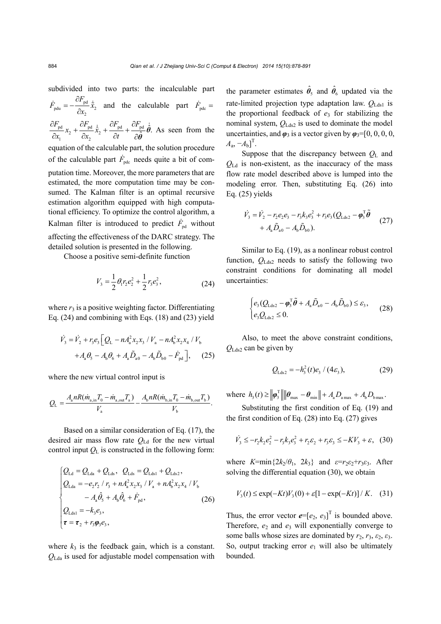subdivided into two parts: the incalculable part pd pdu  $\sim$  2 2 *F*  $\dot{F}_{\text{ndu}} = -\frac{U_{\text{p}}}{2} \tilde{x}$  $\dot{F}_{\text{pdu}} = -\frac{\partial F_{\text{pd}}}{\partial x_2} \dot{\tilde{x}}_2$  and the calculable part  $\dot{F}_{\text{pdc}} =$ pd  $\mathcal{U}$  pd  $\mathcal{U}$  pd  $\mathcal{U}$  pd  $\mathcal{U}$  pd 2  $\sim$  2  $\frac{dF_{\rm pd}}{dx_1}x_2 + \frac{\partial F_{\rm pd}}{\partial x_2}\dot{\hat{x}}_2 + \frac{\partial F_{\rm pd}}{\partial t} + \frac{\partial F_{\rm pd}}{\partial \hat{\boldsymbol{\theta}}}\dot{\hat{\boldsymbol{\theta}}}.$  $x_2 + \frac{d}{dx}x$  $x_1$   $x_2$   $\partial x_2$   $x_3$   $\partial t$  $\partial F_{\rm nd}$   $\partial F_{\rm nd}$   $\partial F_{\rm nd}$   $\partial$  $+\frac{q}{2}$   $\hat{x}$  +  $\frac{q}{2}$  +  $\partial x_1$   $\partial x_2$   $\partial t$   $\partial$ *θ θ*  $\dot{\hat{x}}_1 + \frac{\partial F_{\text{pd}}}{\hat{\rho}} + \frac{\partial F_{\text{pd}}}{\hat{\rho}} \dot{\hat{\theta}}$ . As seen from the equation of the calculable part, the solution procedure of the calculable part  $\dot{F}_{\text{ndc}}$  needs quite a bit of computation time. Moreover, the more parameters that are estimated, the more computation time may be consumed. The Kalman filter is an optimal recursive estimation algorithm equipped with high computational efficiency. To optimize the control algorithm, a Kalman filter is introduced to predict  $\dot{F}_{pd}$  without affecting the effectiveness of the DARC strategy. The detailed solution is presented in the following.

Choose a positive semi-definite function

$$
V_3 = \frac{1}{2} \theta_1 r_2 e_2^2 + \frac{1}{2} r_3 e_3^2, \tag{24}
$$

where  $r_3$  is a positive weighting factor. Differentiating Eq. (24) and combining with Eqs. (18) and (23) yield

$$
\dot{V}_3 = \dot{V}_2 + r_3 e_3 \Big[ Q_{\rm L} - n A_{\rm a}^2 x_2 x_3 / V_{\rm a} - n A_{\rm b}^2 x_2 x_4 / V_{\rm b} \n+ A_{\rm a} \theta_5 - A_{\rm b} \theta_6 + A_{\rm a} \tilde{D}_{\rm a0} - A_{\rm b} \tilde{D}_{\rm b0} - \dot{F}_{\rm pd} \Big], \quad (25)
$$

where the new virtual control input is

$$
Q_{\rm L} = \frac{A_{\rm a} n R (\dot{m}_{\rm a,in} T_0 - \dot{m}_{\rm a,out} T_{\rm a})}{V_{\rm a}} - \frac{A_{\rm b} n R (\dot{m}_{\rm b,in} T_0 - \dot{m}_{\rm b,out} T_{\rm b})}{V_{\rm b}}.
$$

Based on a similar consideration of Eq. (17), the desired air mass flow rate *Q*Ld for the new virtual control input  $Q_L$  is constructed in the following form:

$$
\begin{cases}\nQ_{\text{Ld}} = Q_{\text{Lda}} + Q_{\text{Lds}}, \quad Q_{\text{Lds}} = Q_{\text{Lds1}} + Q_{\text{Lds2}}, \\
Q_{\text{Lda}} = -e_2 r_2 / r_3 + n A_a^2 x_2 x_3 / V_a + n A_b^2 x_2 x_4 / V_b \\
- A_a \hat{\theta}_5 + A_b \hat{\theta}_6 + \dot{F}_{\text{pd}}, \\
Q_{\text{Lds1}} = -k_3 e_3, \\
\tau = \tau_2 + r_3 \varphi_3 e_3,\n\end{cases} (26)
$$

where  $k_3$  is the feedback gain, which is a constant. *Q*Lda is used for adjustable model compensation with

the parameter estimates  $\hat{\theta}_s$  and  $\hat{\theta}_6$  updated via the rate-limited projection type adaptation law. *Q*Lds1 is the proportional feedback of  $e_3$  for stabilizing the nominal system, *Q*Lds2 is used to dominate the model uncertainties, and *φ*3 is a vector given by *φ*3=[0, 0, 0, 0,  $A_{\rm a}$ ,  $-A_{\rm b}$ ]<sup>T</sup>.

Suppose that the discrepancy between *Q*L and *Q*Ld is non-existent, as the inaccuracy of the mass flow rate model described above is lumped into the modeling error. Then, substituting Eq. (26) into Eq. (25) yields

$$
\dot{V}_3 = \dot{V}_2 - r_2 e_2 e_3 - r_3 k_3 e_3^2 + r_3 e_3 (Q_{\text{Lds2}} - \phi_3^T \tilde{\theta} + A_a \tilde{D}_{a0} - A_b \tilde{D}_{b0}).
$$
\n(27)

Similar to Eq. (19), as a nonlinear robust control function, *Q*Lds2 needs to satisfy the following two constraint conditions for dominating all model uncertainties:

$$
\begin{cases} e_3(Q_{\text{Lds2}} - \varphi_3^T \tilde{\theta} + A_a \tilde{D}_{a0} - A_b \tilde{D}_{b0}) \le \varepsilon_3, \\ e_3 Q_{\text{Lds2}} \le 0. \end{cases} (28)
$$

Also, to meet the above constraint conditions, *Q*Lds2 can be given by

$$
Q_{\text{Lds2}} = -h_3^2(t)e_3/(4\varepsilon_3), \tag{29}
$$

where  $h_3(t) \ge ||\boldsymbol{\varphi}_3^{\mathrm{T}}|| ||\boldsymbol{\theta}_{\mathrm{max}} - \boldsymbol{\theta}_{\mathrm{min}}|| + A_a D_{a_{\mathrm{max}}} + A_b D_{b_{\mathrm{max}}}$ .

Substituting the first condition of Eq. (19) and the first condition of Eq. (28) into Eq. (27) gives

$$
\dot{V}_3 \le -r_2 k_2 e_2^2 - r_3 k_3 e_3^2 + r_2 \varepsilon_2 + r_3 \varepsilon_3 \le -KV_3 + \varepsilon, \quad (30)
$$

where  $K = \min\{2k_2/\theta_1, 2k_3\}$  and  $\epsilon = r_2 \epsilon_2 + r_3 \epsilon_3$ . After solving the differential equation (30), we obtain

$$
V_3(t) \le \exp(-Kt)V_3(0) + \varepsilon[1 - \exp(-Kt)] / K.
$$
 (31)

Thus, the error vector  $e=[e_2, e_3]^T$  is bounded above. Therefore,  $e_2$  and  $e_3$  will exponentially converge to some balls whose sizes are dominated by  $r_2$ ,  $r_3$ ,  $\varepsilon_2$ ,  $\varepsilon_3$ . So, output tracking error  $e_1$  will also be ultimately bounded.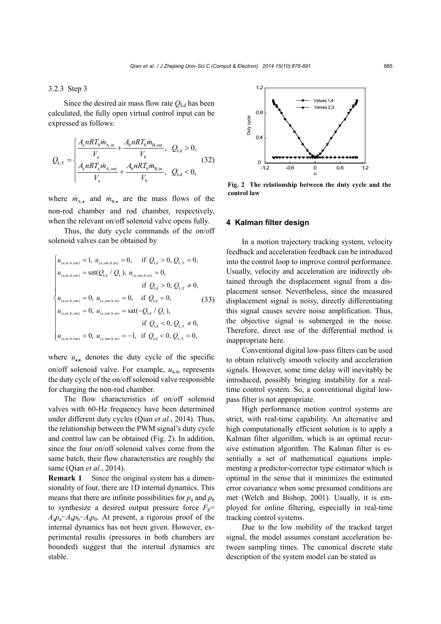#### 3.2.3 Step 3

Since the desired air mass flow rate  $Q_{\text{Ld}}$  has been calculated, the fully open virtual control input can be expressed as follows:

$$
Q_{L,F} = \begin{cases} \frac{A_a nRT_0 \dot{m}_{A,\text{in}}}{V_a} + \frac{A_b nRT_b \dot{m}_{B,\text{out}}}{V_b}, & Q_{Ld} > 0, \\ \frac{A_a nRT_a \dot{m}_{A,\text{out}}}{V_a} + \frac{A_b nRT_0 \dot{m}_{B,\text{in}}}{V_b}, & Q_{Ld} < 0, \end{cases}
$$
(32)

where  $\dot{m}_{A}$ , and  $\dot{m}_{B}$ , are the mass flows of the non-rod chamber and rod chamber, respectively, when the relevant on/off solenoid valve opens fully.

Thus, the duty cycle commands of the on/off solenoid valves can be obtained by

$$
\begin{cases}\nu_{(a,in;b,out)} = 1, \ u_{(a,out;b,in)} = 0, & \text{if } Q_{Ld} > 0, Q_{L,F} = 0, \\
u_{(a,in;b,out)} = sat(Q_{Ld} / Q_{L}), \ u_{(a,out;b,in)} = 0, & \text{if } Q_{Ld} > 0, Q_{L,F} \neq 0, \\
u_{(a,in;b,out)} = 0, \ u_{(a,out;b,in)} = 0, & \text{if } Q_{Ld} = 0, \\
u_{(a,in;b,out)} = 0, \ u_{(a,out;b,in)} = sat(-Q_{Ld} / Q_{L}), & \text{if } Q_{Ld} < 0, Q_{L,F} \neq 0, \\
u_{(a,in;b,out)} = 0, \ u_{(a,out;b,in)} = -1, & \text{if } Q_{Ld} < 0, Q_{L,F} = 0,\n\end{cases}
$$

where  $u_{\bullet}$  denotes the duty cycle of the specific on/off solenoid valve. For example, *u*a,in represents the duty cycle of the on/off solenoid valve responsible for charging the non-rod chamber.

The flow characteristics of on/off solenoid valves with 60-Hz frequency have been determined under different duty cycles (Qian *et al.*, 2014). Thus, the relationship between the PWM signal's duty cycle and control law can be obtained (Fig. 2). In addition, since the four on/off solenoid valves come from the same batch, their flow characteristics are roughly the same (Qian *et al.*, 2014).

**Remark 1** Since the original system has a dimensionality of four, there are 1D internal dynamics. This means that there are infinite possibilities for  $p_a$  and  $p_b$ to synthesize a desired output pressure force  $F<sub>p</sub>$ =  $A_a p_a - A_b p_b - A_r p_0$ . At present, a rigorous proof of the internal dynamics has not been given. However, experimental results (pressures in both chambers are bounded) suggest that the internal dynamics are stable.



**Fig. 2 The relationship between the duty cycle and the control law** 

#### **4 Kalman filter design**

In a motion trajectory tracking system, velocity feedback and acceleration feedback can be introduced into the control loop to improve control performance. Usually, velocity and acceleration are indirectly obtained through the displacement signal from a displacement sensor. Nevertheless, since the measured displacement signal is noisy, directly differentiating this signal causes severe noise amplification. Thus, the objective signal is submerged in the noise. Therefore, direct use of the differential method is inappropriate here.

Conventional digital low-pass filters can be used to obtain relatively smooth velocity and acceleration signals. However, some time delay will inevitably be introduced, possibly bringing instability for a realtime control system. So, a conventional digital lowpass filter is not appropriate.

High performance motion control systems are strict, with real-time capability. An alternative and high computationally efficient solution is to apply a Kalman filter algorithm, which is an optimal recursive estimation algorithm. The Kalman filter is essentially a set of mathematical equations implementing a predictor-corrector type estimator which is optimal in the sense that it minimizes the estimated error covariance when some presumed conditions are met (Welch and Bishop, 2001). Usually, it is employed for online filtering, especially in real-time tracking control systems.

Due to the low mobility of the tracked target signal, the model assumes constant acceleration between sampling times. The canonical discrete state description of the system model can be stated as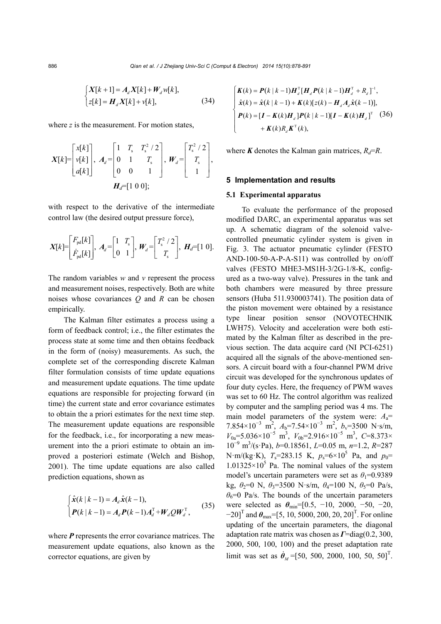$$
\begin{cases} X[k+1] = A_d X[k] + W_d w[k], \\ z[k] = H_d X[k] + v[k], \end{cases}
$$
 (34)

where *z* is the measurement. For motion states,

$$
X[k] = \begin{bmatrix} x[k] \\ v[k] \\ a[k] \end{bmatrix}, A_d = \begin{bmatrix} 1 & T_s & T_s^2 / 2 \\ 0 & 1 & T_s \\ 0 & 0 & 1 \end{bmatrix}, W_d = \begin{bmatrix} T_s^2 / 2 \\ T_s \\ 1 \end{bmatrix},
$$

$$
H_d = [1 \ 0 \ 0];
$$

with respect to the derivative of the intermediate control law (the desired output pressure force),

$$
X[k] = \begin{bmatrix} F_{\text{pd}}[k] \\ \dot{F}_{\text{pd}}[k] \end{bmatrix}, A_d = \begin{bmatrix} 1 & T_s \\ 0 & 1 \end{bmatrix}, W_d = \begin{bmatrix} T_s^2 / 2 \\ T_s \end{bmatrix}, H_d = \begin{bmatrix} 1 & 0 \end{bmatrix}.
$$

The random variables *w* and *v* represent the process and measurement noises, respectively. Both are white noises whose covariances *Q* and *R* can be chosen empirically.

The Kalman filter estimates a process using a form of feedback control; i.e., the filter estimates the process state at some time and then obtains feedback in the form of (noisy) measurements. As such, the complete set of the corresponding discrete Kalman filter formulation consists of time update equations and measurement update equations. The time update equations are responsible for projecting forward (in time) the current state and error covariance estimates to obtain the a priori estimates for the next time step. The measurement update equations are responsible for the feedback, i.e., for incorporating a new measurement into the a priori estimate to obtain an improved a posteriori estimate (Welch and Bishop, 2001). The time update equations are also called prediction equations, shown as

$$
\begin{cases} \hat{\mathbf{x}}(k|k-1) = A_d \hat{\mathbf{x}}(k-1), \\ P(k|k-1) = A_d P(k-1) A_d^{\mathrm{T}} + W_d Q W_d^{\mathrm{T}}, \end{cases}
$$
(35)

where *P* represents the error covariance matrices. The measurement update equations, also known as the corrector equations, are given by

$$
\begin{cases}\nK(k) = P(k | k - 1)H_d^{\mathrm{T}}[H_d P(k | k - 1)H_d^{\mathrm{T}} + R_d]^{\mathrm{T}},\n\hat{x}(k) = \hat{x}(k | k - 1) + K(k)[z(k) - H_d A_d \hat{x}(k - 1)],\nP(k) = [I - K(k)H_d]P(k | k - 1)[I - K(k)H_d]^{\mathrm{T}} (36)\n+ K(k)R_d K^{\mathrm{T}}(k),\n\end{cases}
$$

where **K** denotes the Kalman gain matrices,  $R_d = R$ .

#### **5 Implementation and results**

#### **5.1 Experimental apparatus**

To evaluate the performance of the proposed modified DARC, an experimental apparatus was set up. A schematic diagram of the solenoid valvecontrolled pneumatic cylinder system is given in Fig. 3. The actuator pneumatic cylinder (FESTO AND-100-50-A-P-A-S11) was controlled by on/off valves (FESTO MHE3-MS1H-3/2G-1/8-K, configured as a two-way valve). Pressures in the tank and both chambers were measured by three pressure sensors (Huba 511.930003741). The position data of the piston movement were obtained by a resistance type linear position sensor (NOVOTECHNIK LWH75). Velocity and acceleration were both estimated by the Kalman filter as described in the previous section. The data acquire card (NI PCI-6251) acquired all the signals of the above-mentioned sensors. A circuit board with a four-channel PWM drive circuit was developed for the synchronous updates of four duty cycles. Here, the frequency of PWM waves was set to 60 Hz. The control algorithm was realized by computer and the sampling period was 4 ms. The main model parameters of the system were: *A*a= 7.854×10<sup>-3</sup> m<sup>2</sup>, *A*<sub>b</sub>=7.54×10<sup>-3</sup> m<sup>2</sup>, *b*<sub>v</sub>=3500 N⋅s/m,  $V_{0a}$ =5.036×10<sup>-5</sup> m<sup>3</sup>,  $V_{0b}$ =2.916×10<sup>-5</sup> m<sup>3</sup>, C=8.373× 10<sup>−</sup><sup>9</sup> m 3 /(s·Pa), *b*=0.18561, *L*=0.05 m, *n*=1.2, *R*=287 N·m/(kg·K),  $T_s$ =283.15 K,  $p_s$ =6×10<sup>5</sup> Pa, and  $p_0$ =  $1.01325 \times 10^5$  Pa. The nominal values of the system model's uncertain parameters were set as  $\theta_1 = 0.9389$ kg,  $\theta_2=0$  N,  $\theta_3=3500$  N·s/m,  $\theta_4=100$  N,  $\theta_5=0$  Pa/s,  $\theta_6$ =0 Pa/s. The bounds of the uncertain parameters were selected as  $\theta_{\text{min}}$ =[0.5, -10, 2000, -50, -20,  $-20$ <sup>T</sup> and  $\theta_{\text{max}}$ =[5, 10, 5000, 200, 20, 20]<sup>T</sup>. For online updating of the uncertain parameters, the diagonal adaptation rate matrix was chosen as *Γ*=diag(0.2, 300, 2000, 500, 100, 100) and the preset adaptation rate limit was set as  $\dot{\theta}_M = [50, 500, 2000, 100, 50, 50]^T$ .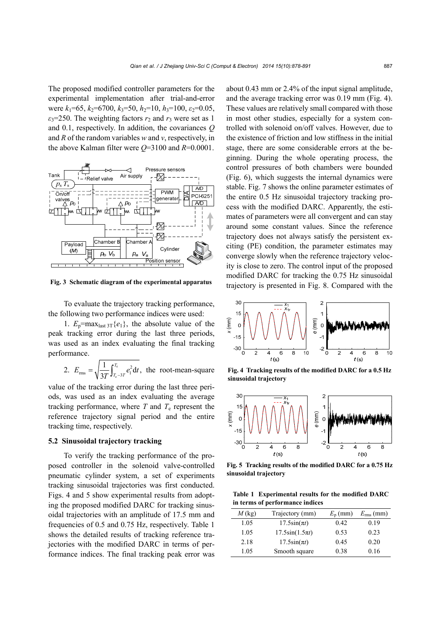The proposed modified controller parameters for the experimental implementation after trial-and-error were *k*1=65, *k*2=6700, *k*3=50, *h*2=10, *h*3=100, *ε*2=0.05,  $\varepsilon_3$ =250. The weighting factors  $r_2$  and  $r_3$  were set as 1 and 0.1, respectively. In addition, the covariances *Q* and *R* of the random variables *w* and *v*, respectively, in the above Kalman filter were *Q*=3100 and *R*=0.0001.



**Fig. 3 Schematic diagram of the experimental apparatus**

To evaluate the trajectory tracking performance, the following two performance indices were used:

1.  $E_p = \max_{\text{last }3T} \{e_1\}$ , the absolute value of the peak tracking error during the last three periods, was used as an index evaluating the final tracking performance.

2. 
$$
E_{\text{rms}} = \sqrt{\frac{1}{3T} \int_{T_{\text{e}}-3T}^{T_{\text{e}}} e_1^2 dt}
$$
, the root-mean-square

value of the tracking error during the last three periods, was used as an index evaluating the average tracking performance, where  $T$  and  $T_e$  represent the reference trajectory signal period and the entire tracking time, respectively.

## **5.2 Sinusoidal trajectory tracking**

To verify the tracking performance of the proposed controller in the solenoid valve-controlled pneumatic cylinder system, a set of experiments tracking sinusoidal trajectories was first conducted. Figs. 4 and 5 show experimental results from adopting the proposed modified DARC for tracking sinusoidal trajectories with an amplitude of 17.5 mm and frequencies of 0.5 and 0.75 Hz, respectively. Table 1 shows the detailed results of tracking reference trajectories with the modified DARC in terms of performance indices. The final tracking peak error was

about 0.43 mm or 2.4% of the input signal amplitude, and the average tracking error was 0.19 mm (Fig. 4). These values are relatively small compared with those in most other studies, especially for a system controlled with solenoid on/off valves. However, due to the existence of friction and low stiffness in the initial stage, there are some considerable errors at the beginning. During the whole operating process, the control pressures of both chambers were bounded (Fig. 6), which suggests the internal dynamics were stable. Fig. 7 shows the online parameter estimates of the entire 0.5 Hz sinusoidal trajectory tracking process with the modified DARC. Apparently, the estimates of parameters were all convergent and can stay around some constant values. Since the reference trajectory does not always satisfy the persistent exciting (PE) condition, the parameter estimates may converge slowly when the reference trajectory velocity is close to zero. The control input of the proposed modified DARC for tracking the 0.75 Hz sinusoidal trajectory is presented in Fig. 8. Compared with the



**Fig. 4 Tracking results of the modified DARC for a 0.5 Hz sinusoidal trajectory** 



**Fig. 5 Tracking results of the modified DARC for a 0.75 Hz sinusoidal trajectory** 

**Table 1 Experimental results for the modified DARC in terms of performance indices** 

| $M$ (kg) | Trajectory (mm)      | $E_{\rm p}$ (mm) | $E_{\rm rms}$ (mm) |
|----------|----------------------|------------------|--------------------|
| 1.05     | $17.5\sin(\pi t)$    | 0.42             | 0.19               |
| 1.05     | $17.5\sin(1.5\pi t)$ | 0.53             | 0.23               |
| 2.18     | $17.5\sin(\pi t)$    | 0.45             | 0.20               |
| 1.05     | Smooth square        | 0.38             | 0.16               |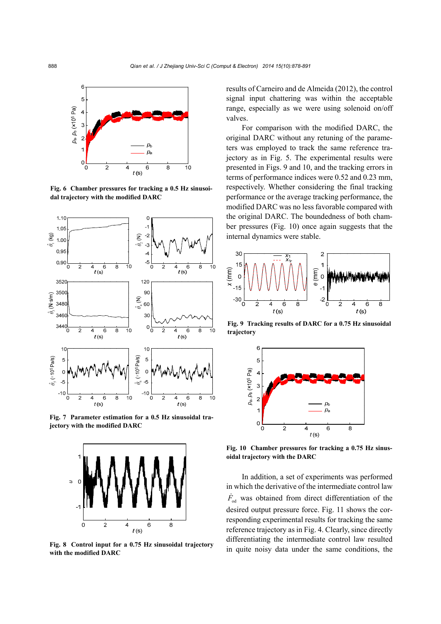

**Fig. 6 Chamber pressures for tracking a 0.5 Hz sinusoidal trajectory with the modified DARC** 



**Fig. 7 Parameter estimation for a 0.5 Hz sinusoidal trajectory with the modified DARC** 



**Fig. 8 Control input for a 0.75 Hz sinusoidal trajectory with the modified DARC** 

results of Carneiro and de Almeida (2012), the control signal input chattering was within the acceptable range, especially as we were using solenoid on/off valves.

For comparison with the modified DARC, the original DARC without any retuning of the parameters was employed to track the same reference trajectory as in Fig. 5. The experimental results were presented in Figs. 9 and 10, and the tracking errors in terms of performance indices were 0.52 and 0.23 mm, respectively. Whether considering the final tracking performance or the average tracking performance, the modified DARC was no less favorable compared with the original DARC. The boundedness of both chamber pressures (Fig. 10) once again suggests that the internal dynamics were stable.



**Fig. 9 Tracking results of DARC for a 0.75 Hz sinusoidal trajectory** 



**Fig. 10 Chamber pressures for tracking a 0.75 Hz sinusoidal trajectory with the DARC** 

In addition, a set of experiments was performed in which the derivative of the intermediate control law  $\dot{F}_{od}$  was obtained from direct differentiation of the desired output pressure force. Fig. 11 shows the corresponding experimental results for tracking the same reference trajectory as in Fig. 4. Clearly, since directly differentiating the intermediate control law resulted in quite noisy data under the same conditions, the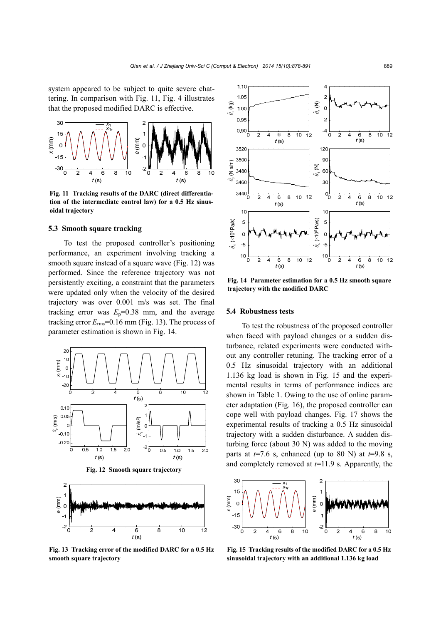system appeared to be subject to quite severe chattering. In comparison with Fig. 11, Fig. 4 illustrates that the proposed modified DARC is effective.



**Fig. 11 Tracking results of the DARC (direct differentiation of the intermediate control law) for a 0.5 Hz sinusoidal trajectory** 

#### **5.3 Smooth square tracking**

To test the proposed controller's positioning performance, an experiment involving tracking a smooth square instead of a square wave (Fig. 12) was performed. Since the reference trajectory was not persistently exciting, a constraint that the parameters were updated only when the velocity of the desired trajectory was over 0.001 m/s was set. The final tracking error was  $E_p = 0.38$  mm, and the average tracking error  $E_{\text{rms}}$ =0.16 mm (Fig. 13). The process of parameter estimation is shown in Fig. 14.



**Fig. 13 Tracking error of the modified DARC for a 0.5 Hz**



**Fig. 14 Parameter estimation for a 0.5 Hz smooth square trajectory with the modified DARC** 

#### **5.4 Robustness tests**

To test the robustness of the proposed controller when faced with payload changes or a sudden disturbance, related experiments were conducted without any controller retuning. The tracking error of a 0.5 Hz sinusoidal trajectory with an additional 1.136 kg load is shown in Fig. 15 and the experimental results in terms of performance indices are shown in Table 1. Owing to the use of online parameter adaptation (Fig. 16), the proposed controller can cope well with payload changes. Fig. 17 shows the experimental results of tracking a 0.5 Hz sinusoidal trajectory with a sudden disturbance. A sudden disturbing force (about 30 N) was added to the moving parts at  $t=7.6$  s, enhanced (up to 80 N) at  $t=9.8$  s, and completely removed at *t*=11.9 s. Apparently, the



**Fig. 15 Tracking results of the modified DARC for a 0.5 Hz**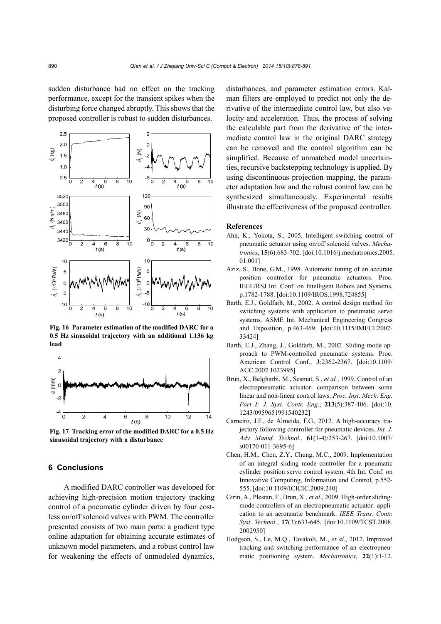sudden disturbance had no effect on the tracking performance, except for the transient spikes when the disturbing force changed abruptly. This shows that the proposed controller is robust to sudden disturbances.



**Fig. 16 Parameter estimation of the modified DARC for a 0.5 Hz sinusoidal trajectory with an additional 1.136 kg load** 



**Fig. 17 Tracking error of the modified DARC for a 0.5 Hz sinusoidal trajectory with a disturbance**

# **6 Conclusions**

A modified DARC controller was developed for achieving high-precision motion trajectory tracking control of a pneumatic cylinder driven by four costless on/off solenoid valves with PWM. The controller presented consists of two main parts: a gradient type online adaptation for obtaining accurate estimates of unknown model parameters, and a robust control law for weakening the effects of unmodeled dynamics,

disturbances, and parameter estimation errors. Kalman filters are employed to predict not only the derivative of the intermediate control law, but also velocity and acceleration. Thus, the process of solving the calculable part from the derivative of the intermediate control law in the original DARC strategy can be removed and the control algorithm can be simplified. Because of unmatched model uncertainties, recursive backstepping technology is applied. By using discontinuous projection mapping, the parameter adaptation law and the robust control law can be synthesized simultaneously. Experimental results illustrate the effectiveness of the proposed controller.

#### **References**

- Ahn, K., Yokota, S., 2005. Intelligent switching control of pneumatic actuator using on/off solenoid valves. *Mechatronics*, **15**(6):683-702. [doi:10.1016/j.mechatronics.2005. 01.001]
- Aziz, S., Bone, G.M., 1998. Automatic tuning of an accurate position controller for pneumatic actuators. Proc. IEEE/RSJ Int. Conf. on Intelligent Robots and Systems, p.1782-1788. [doi:10.1109/IROS.1998.724855]
- Barth, E.J., Goldfarb, M., 2002. A control design method for switching systems with application to pneumatic servo systems. ASME Int. Mechanical Engineering Congress and Exposition, p.463-469. [doi:10.1115/IMECE2002- 33424]
- Barth, E.J., Zhang, J., Goldfarb, M., 2002. Sliding mode approach to PWM-controlled pneumatic systems. Proc. American Control Conf., **3**:2362-2367. [doi:10.1109/ ACC.2002.1023995]
- Brun, X., Belgharbi, M., Sesmat, S., *et al.*, 1999. Control of an electropneumatic actuator: comparison between some linear and non-linear control laws. *Proc. Inst. Mech. Eng. Part I: J. Syst. Contr. Eng.*, **213**(5):387-406. [doi:10. 1243/0959651991540232]
- Carneiro, J.F., de Almeida, F.G., 2012. A high-accuracy trajectory following controller for pneumatic devices. *Int. J. Adv. Manuf. Technol.*, **61**(1-4):253-267. [doi:10.1007/ s00170-011-3695-6]
- Chen, H.M., Chen, Z.Y., Chung, M.C., 2009. Implementation of an integral sliding mode controller for a pneumatic cylinder position servo control system. 4th Int. Conf. on Innovative Computing, Information and Control, p.552- 555. [doi:10.1109/ICICIC.2009.240]
- Girin, A., Plestan, F., Brun, X., *et al.*, 2009. High-order slidingmode controllers of an electropneumatic actuator: application to an aeronautic benchmark. *IEEE Trans. Contr. Syst. Technol.*, **17**(3):633-645. [doi:10.1109/TCST.2008. 2002950]
- Hodgson, S., Le, M.Q., Tavakoli, M., *et al.*, 2012. Improved tracking and switching performance of an electropneumatic positioning system. *Mechatronics*, **22**(1):1-12.